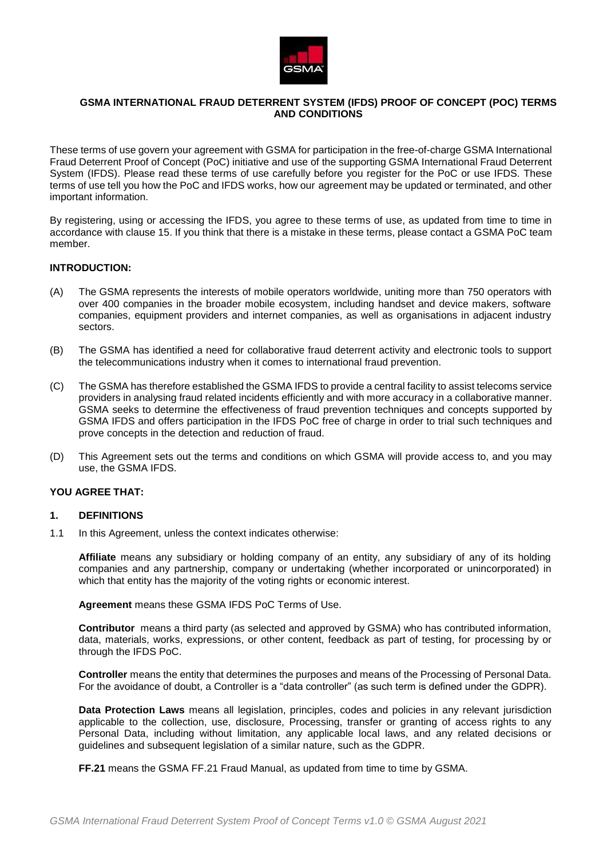

# **GSMA INTERNATIONAL FRAUD DETERRENT SYSTEM (IFDS) PROOF OF CONCEPT (POC) TERMS AND CONDITIONS**

These terms of use govern your agreement with GSMA for participation in the free-of-charge GSMA International Fraud Deterrent Proof of Concept (PoC) initiative and use of the supporting GSMA International Fraud Deterrent System (IFDS). Please read these terms of use carefully before you register for the PoC or use IFDS. These terms of use tell you how the PoC and IFDS works, how our agreement may be updated or terminated, and other important information.

By registering, using or accessing the IFDS, you agree to these terms of use, as updated from time to time in accordance with clause [15.](#page-9-0) If you think that there is a mistake in these terms, please contact a GSMA PoC team member.

## **INTRODUCTION:**

- (A) The GSMA represents the interests of mobile operators worldwide, uniting more than 750 operators with over 400 companies in the broader mobile ecosystem, including handset and device makers, software companies, equipment providers and internet companies, as well as organisations in adjacent industry sectors.
- (B) The GSMA has identified a need for collaborative fraud deterrent activity and electronic tools to support the telecommunications industry when it comes to international fraud prevention.
- (C) The GSMA has therefore established the GSMA IFDS to provide a central facility to assist telecoms service providers in analysing fraud related incidents efficiently and with more accuracy in a collaborative manner. GSMA seeks to determine the effectiveness of fraud prevention techniques and concepts supported by GSMA IFDS and offers participation in the IFDS PoC free of charge in order to trial such techniques and prove concepts in the detection and reduction of fraud.
- (D) This Agreement sets out the terms and conditions on which GSMA will provide access to, and you may use, the GSMA IFDS.

#### **YOU AGREE THAT:**

#### **1. DEFINITIONS**

1.1 In this Agreement, unless the context indicates otherwise:

**Affiliate** means any subsidiary or holding company of an entity, any subsidiary of any of its holding companies and any partnership, company or undertaking (whether incorporated or unincorporated) in which that entity has the majority of the voting rights or economic interest.

**Agreement** means these GSMA IFDS PoC Terms of Use.

**Contributor** means a third party (as selected and approved by GSMA) who has contributed information, data, materials, works, expressions, or other content, feedback as part of testing, for processing by or through the IFDS PoC.

**Controller** means the entity that determines the purposes and means of the Processing of Personal Data. For the avoidance of doubt, a Controller is a "data controller" (as such term is defined under the GDPR).

**Data Protection Laws** means all legislation, principles, codes and policies in any relevant jurisdiction applicable to the collection, use, disclosure, Processing, transfer or granting of access rights to any Personal Data, including without limitation, any applicable local laws, and any related decisions or guidelines and subsequent legislation of a similar nature, such as the GDPR.

**FF.21** means the GSMA FF.21 Fraud Manual, as updated from time to time by GSMA.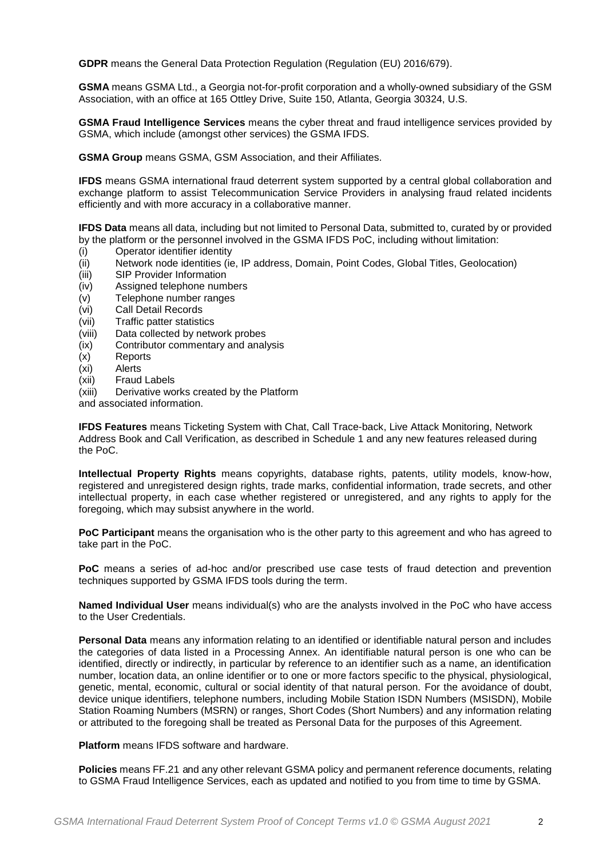**GDPR** means the General Data Protection Regulation (Regulation (EU) 2016/679).

**GSMA** means GSMA Ltd., a Georgia not-for-profit corporation and a wholly-owned subsidiary of the GSM Association, with an office at 165 Ottley Drive, Suite 150, Atlanta, Georgia 30324, U.S.

**GSMA Fraud Intelligence Services** means the cyber threat and fraud intelligence services provided by GSMA, which include (amongst other services) the GSMA IFDS.

**GSMA Group** means GSMA, GSM Association, and their Affiliates.

**IFDS** means GSMA international fraud deterrent system supported by a central global collaboration and exchange platform to assist Telecommunication Service Providers in analysing fraud related incidents efficiently and with more accuracy in a collaborative manner.

**IFDS Data** means all data, including but not limited to Personal Data, submitted to, curated by or provided by the platform or the personnel involved in the GSMA IFDS PoC, including without limitation:

- (i) Operator identifier identity
- (ii) Network node identities (ie, IP address, Domain, Point Codes, Global Titles, Geolocation)
- (iii) SIP Provider Information
- (iv) Assigned telephone numbers
- (v) Telephone number ranges<br>(vi) Call Detail Records
- Call Detail Records
- (vii) Traffic patter statistics
- (viii) Data collected by network probes
- (ix) Contributor commentary and analysis
- (x) Reports
- (xi) Alerts
- (xii) Fraud Labels
- (xiii) Derivative works created by the Platform
- and associated information.

**IFDS Features** means Ticketing System with Chat, Call Trace-back, Live Attack Monitoring, Network Address Book and Call Verification, as described in Schedule 1 and any new features released during the PoC.

**Intellectual Property Rights** means copyrights, database rights, patents, utility models, know-how, registered and unregistered design rights, trade marks, confidential information, trade secrets, and other intellectual property, in each case whether registered or unregistered, and any rights to apply for the foregoing, which may subsist anywhere in the world.

**PoC Participant** means the organisation who is the other party to this agreement and who has agreed to take part in the PoC.

**PoC** means a series of ad-hoc and/or prescribed use case tests of fraud detection and prevention techniques supported by GSMA IFDS tools during the term.

**Named Individual User** means individual(s) who are the analysts involved in the PoC who have access to the User Credentials.

**Personal Data** means any information relating to an identified or identifiable natural person and includes the categories of data listed in a Processing Annex. An identifiable natural person is one who can be identified, directly or indirectly, in particular by reference to an identifier such as a name, an identification number, location data, an online identifier or to one or more factors specific to the physical, physiological, genetic, mental, economic, cultural or social identity of that natural person. For the avoidance of doubt, device unique identifiers, telephone numbers, including Mobile Station ISDN Numbers (MSISDN), Mobile Station Roaming Numbers (MSRN) or ranges, Short Codes (Short Numbers) and any information relating or attributed to the foregoing shall be treated as Personal Data for the purposes of this Agreement.

**Platform** means IFDS software and hardware.

**Policies** means FF.21 and any other relevant GSMA policy and permanent reference documents, relating to GSMA Fraud Intelligence Services, each as updated and notified to you from time to time by GSMA.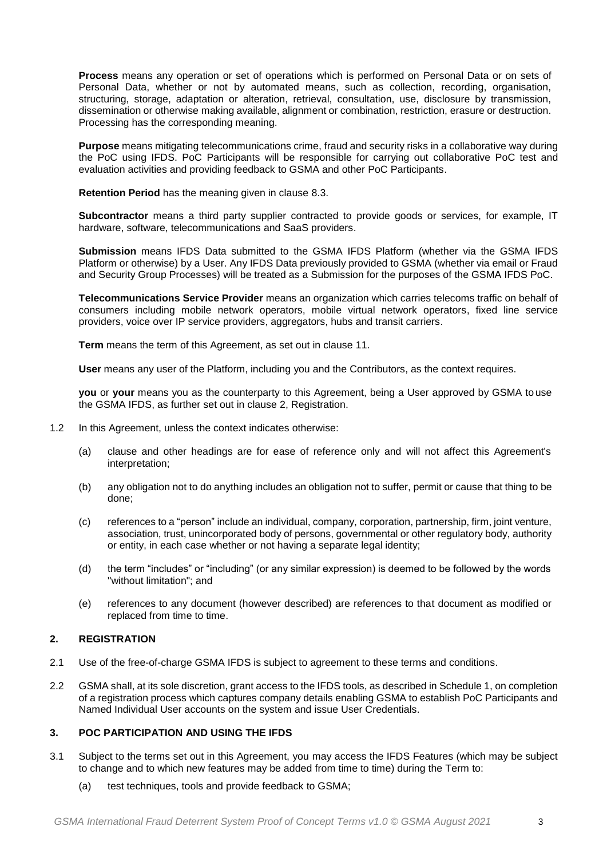**Process** means any operation or set of operations which is performed on Personal Data or on sets of Personal Data, whether or not by automated means, such as collection, recording, organisation, structuring, storage, adaptation or alteration, retrieval, consultation, use, disclosure by transmission, dissemination or otherwise making available, alignment or combination, restriction, erasure or destruction. Processing has the corresponding meaning.

**Purpose** means mitigating telecommunications crime, fraud and security risks in a collaborative way during the PoC using IFDS. PoC Participants will be responsible for carrying out collaborative PoC test and evaluation activities and providing feedback to GSMA and other PoC Participants.

**Retention Period** has the meaning given in clause 8.3.

**Subcontractor** means a third party supplier contracted to provide goods or services, for example, IT hardware, software, telecommunications and SaaS providers.

**Submission** means IFDS Data submitted to the GSMA IFDS Platform (whether via the GSMA IFDS Platform or otherwise) by a User. Any IFDS Data previously provided to GSMA (whether via email or Fraud and Security Group Processes) will be treated as a Submission for the purposes of the GSMA IFDS PoC.

**Telecommunications Service Provider** means an organization which carries telecoms traffic on behalf of consumers including mobile network operators, mobile virtual network operators, fixed line service providers, voice over IP service providers, aggregators, hubs and transit carriers.

**Term** means the term of this Agreement, as set out in clause 11.

**User** means any user of the Platform, including you and the Contributors, as the context requires.

**you** or **your** means you as the counterparty to this Agreement, being a User approved by GSMA to use the GSMA IFDS, as further set out in clause [2,](#page-2-0) Registration.

- 1.2 In this Agreement, unless the context indicates otherwise:
	- (a) clause and other headings are for ease of reference only and will not affect this Agreement's interpretation;
	- (b) any obligation not to do anything includes an obligation not to suffer, permit or cause that thing to be done;
	- (c) references to a "person" include an individual, company, corporation, partnership, firm, joint venture, association, trust, unincorporated body of persons, governmental or other regulatory body, authority or entity, in each case whether or not having a separate legal identity;
	- (d) the term "includes" or "including" (or any similar expression) is deemed to be followed by the words "without limitation"; and
	- (e) references to any document (however described) are references to that document as modified or replaced from time to time.

# <span id="page-2-0"></span>**2. REGISTRATION**

- 2.1 Use of the free-of-charge GSMA IFDS is subject to agreement to these terms and conditions.
- 2.2 GSMA shall, at its sole discretion, grant access to the IFDS tools, as described in Schedule 1, on completion of a registration process which captures company details enabling GSMA to establish PoC Participants and Named Individual User accounts on the system and issue User Credentials.

# **3. POC PARTICIPATION AND USING THE IFDS**

- 3.1 Subject to the terms set out in this Agreement, you may access the IFDS Features (which may be subject to change and to which new features may be added from time to time) during the Term to:
	- (a) test techniques, tools and provide feedback to GSMA;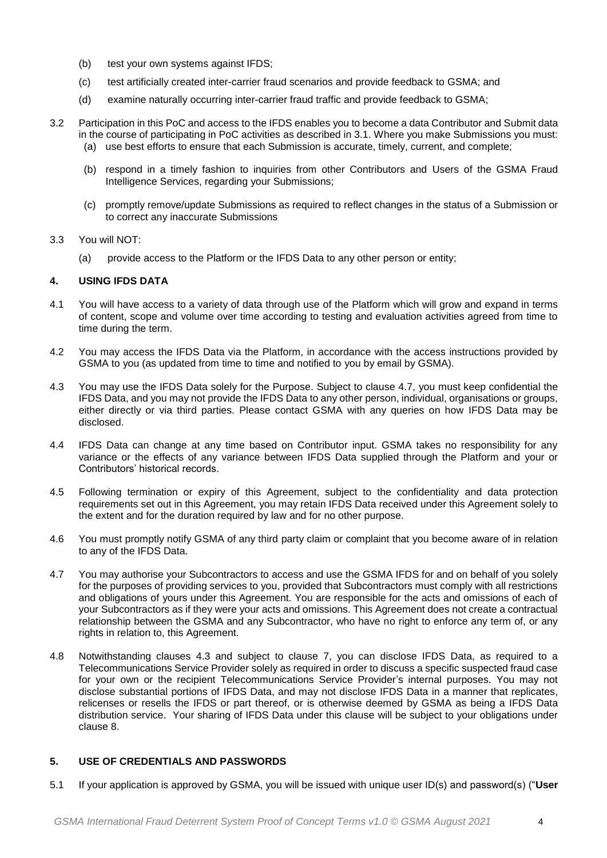- (b) test your own systems against IFDS;
- (c) test artificially created inter-carrier fraud scenarios and provide feedback to GSMA; and
- (d) examine naturally occurring inter-carrier fraud traffic and provide feedback to GSMA;
- 3.2 Participation in this PoC and access to the IFDS enables you to become a data Contributor and Submit data in the course of participating in PoC activities as described in 3.1. Where you make Submissions you must: (a) use best efforts to ensure that each Submission is accurate, timely, current, and complete;
	- (b) respond in a timely fashion to inquiries from other Contributors and Users of the GSMA Fraud Intelligence Services, regarding your Submissions;
	- (c) promptly remove/update Submissions as required to reflect changes in the status of a Submission or to correct any inaccurate Submissions
- 3.3 You will NOT:
	- (a) provide access to the Platform or the IFDS Data to any other person or entity;

## **4. USING IFDS DATA**

- 4.1 You will have access to a variety of data through use of the Platform which will grow and expand in terms of content, scope and volume over time according to testing and evaluation activities agreed from time to time during the term.
- 4.2 You may access the IFDS Data via the Platform, in accordance with the access instructions provided by GSMA to you (as updated from time to time and notified to you by email by GSMA).
- <span id="page-3-1"></span>4.3 You may use the IFDS Data solely for the Purpose. Subject to clause [4.7,](#page-3-0) you must keep confidential the IFDS Data, and you may not provide the IFDS Data to any other person, individual, organisations or groups, either directly or via third parties. Please contact GSMA with any queries on how IFDS Data may be disclosed.
- 4.4 IFDS Data can change at any time based on Contributor input. GSMA takes no responsibility for any variance or the effects of any variance between IFDS Data supplied through the Platform and your or Contributors' historical records.
- 4.5 Following termination or expiry of this Agreement, subject to the confidentiality and data protection requirements set out in this Agreement, you may retain IFDS Data received under this Agreement solely to the extent and for the duration required by law and for no other purpose.
- 4.6 You must promptly notify GSMA of any third party claim or complaint that you become aware of in relation to any of the IFDS Data.
- 4.7 You may authorise your Subcontractors to access and use the GSMA IFDS for and on behalf of you solely for the purposes of providing services to you, provided that Subcontractors must comply with all restrictions and obligations of yours under this Agreement. You are responsible for the acts and omissions of each of your Subcontractors as if they were your acts and omissions. This Agreement does not create a contractual relationship between the GSMA and any Subcontractor, who have no right to enforce any term of, or any rights in relation to, this Agreement.
- <span id="page-3-0"></span>4.8 Notwithstanding clauses [4.3](#page-3-1) and subject to clause 7, you can disclose IFDS Data, as required to a Telecommunications Service Provider solely as required in order to discuss a specific suspected fraud case for your own or the recipient Telecommunications Service Provider's internal purposes. You may not disclose substantial portions of IFDS Data, and may not disclose IFDS Data in a manner that replicates, relicenses or resells the IFDS or part thereof, or is otherwise deemed by GSMA as being a IFDS Data distribution service. Your sharing of IFDS Data under this clause will be subject to your obligations under clause 8.

# **5. USE OF CREDENTIALS AND PASSWORDS**

5.1 If your application is approved by GSMA, you will be issued with unique user ID(s) and password(s) ("**User**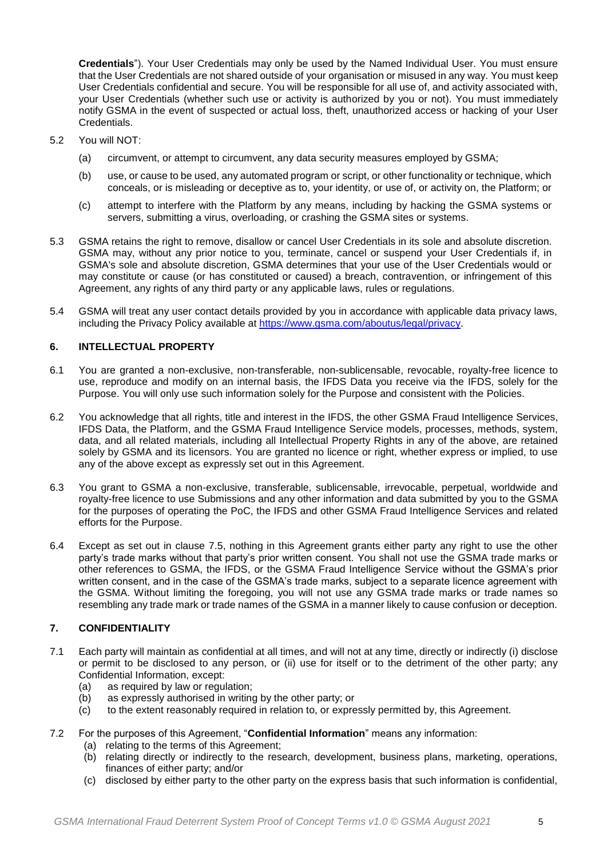**Credentials**"). Your User Credentials may only be used by the Named Individual User. You must ensure that the User Credentials are not shared outside of your organisation or misused in any way. You must keep User Credentials confidential and secure. You will be responsible for all use of, and activity associated with, your User Credentials (whether such use or activity is authorized by you or not). You must immediately notify GSMA in the event of suspected or actual loss, theft, unauthorized access or hacking of your User Credentials.

- 5.2 You will NOT:
	- (a) circumvent, or attempt to circumvent, any data security measures employed by GSMA;
	- (b) use, or cause to be used, any automated program or script, or other functionality or technique, which conceals, or is misleading or deceptive as to, your identity, or use of, or activity on, the Platform; or
	- (c) attempt to interfere with the Platform by any means, including by hacking the GSMA systems or servers, submitting a virus, overloading, or crashing the GSMA sites or systems.
- 5.3 GSMA retains the right to remove, disallow or cancel User Credentials in its sole and absolute discretion. GSMA may, without any prior notice to you, terminate, cancel or suspend your User Credentials if, in GSMA's sole and absolute discretion, GSMA determines that your use of the User Credentials would or may constitute or cause (or has constituted or caused) a breach, contravention, or infringement of this Agreement, any rights of any third party or any applicable laws, rules or regulations.
- 5.4 GSMA will treat any user contact details provided by you in accordance with applicable data privacy laws, including the Privacy Policy available at [https://www.gsma.com/aboutus/legal/privacy.](https://www.gsma.com/aboutus/legal/privacy)

## **6. INTELLECTUAL PROPERTY**

- 6.1 You are granted a non-exclusive, non-transferable, non-sublicensable, revocable, royalty-free licence to use, reproduce and modify on an internal basis, the IFDS Data you receive via the IFDS, solely for the Purpose. You will only use such information solely for the Purpose and consistent with the Policies.
- 6.2 You acknowledge that all rights, title and interest in the IFDS, the other GSMA Fraud Intelligence Services, IFDS Data, the Platform, and the GSMA Fraud Intelligence Service models, processes, methods, system, data, and all related materials, including all Intellectual Property Rights in any of the above, are retained solely by GSMA and its licensors. You are granted no licence or right, whether express or implied, to use any of the above except as expressly set out in this Agreement.
- 6.3 You grant to GSMA a non-exclusive, transferable, sublicensable, irrevocable, perpetual, worldwide and royalty-free licence to use Submissions and any other information and data submitted by you to the GSMA for the purposes of operating the PoC, the IFDS and other GSMA Fraud Intelligence Services and related efforts for the Purpose.
- 6.4 Except as set out in clause [7.5,](#page-5-0) nothing in this Agreement grants either party any right to use the other party's trade marks without that party's prior written consent. You shall not use the GSMA trade marks or other references to GSMA, the IFDS, or the GSMA Fraud Intelligence Service without the GSMA's prior written consent, and in the case of the GSMA's trade marks, subject to a separate licence agreement with the GSMA. Without limiting the foregoing, you will not use any GSMA trade marks or trade names so resembling any trade mark or trade names of the GSMA in a manner likely to cause confusion or deception.

# **7. CONFIDENTIALITY**

- 7.1 Each party will maintain as confidential at all times, and will not at any time, directly or indirectly (i) disclose or permit to be disclosed to any person, or (ii) use for itself or to the detriment of the other party; any Confidential Information, except:
	- (a) as required by law or regulation;
	- (b) as expressly authorised in writing by the other party; or
	- (c) to the extent reasonably required in relation to, or expressly permitted by, this Agreement.
- 7.2 For the purposes of this Agreement, "**Confidential Information**" means any information:
	- (a) relating to the terms of this Agreement;
	- (b) relating directly or indirectly to the research, development, business plans, marketing, operations, finances of either party; and/or
	- (c) disclosed by either party to the other party on the express basis that such information is confidential,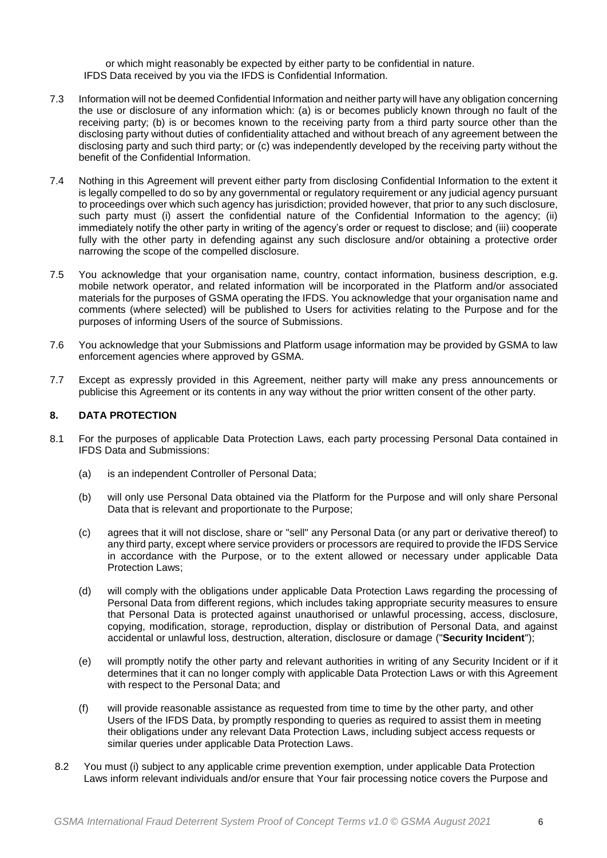or which might reasonably be expected by either party to be confidential in nature. IFDS Data received by you via the IFDS is Confidential Information.

- 7.3 Information will not be deemed Confidential Information and neither party will have any obligation concerning the use or disclosure of any information which: (a) is or becomes publicly known through no fault of the receiving party; (b) is or becomes known to the receiving party from a third party source other than the disclosing party without duties of confidentiality attached and without breach of any agreement between the disclosing party and such third party; or (c) was independently developed by the receiving party without the benefit of the Confidential Information.
- 7.4 Nothing in this Agreement will prevent either party from disclosing Confidential Information to the extent it is legally compelled to do so by any governmental or regulatory requirement or any judicial agency pursuant to proceedings over which such agency has jurisdiction; provided however, that prior to any such disclosure, such party must (i) assert the confidential nature of the Confidential Information to the agency; (ii) immediately notify the other party in writing of the agency's order or request to disclose; and (iii) cooperate fully with the other party in defending against any such disclosure and/or obtaining a protective order narrowing the scope of the compelled disclosure.
- <span id="page-5-0"></span>7.5 You acknowledge that your organisation name, country, contact information, business description, e.g. mobile network operator, and related information will be incorporated in the Platform and/or associated materials for the purposes of GSMA operating the IFDS. You acknowledge that your organisation name and comments (where selected) will be published to Users for activities relating to the Purpose and for the purposes of informing Users of the source of Submissions.
- 7.6 You acknowledge that your Submissions and Platform usage information may be provided by GSMA to law enforcement agencies where approved by GSMA.
- 7.7 Except as expressly provided in this Agreement, neither party will make any press announcements or publicise this Agreement or its contents in any way without the prior written consent of the other party.

# **8. DATA PROTECTION**

- 8.1 For the purposes of applicable Data Protection Laws, each party processing Personal Data contained in IFDS Data and Submissions:
	- (a) is an independent Controller of Personal Data;
	- (b) will only use Personal Data obtained via the Platform for the Purpose and will only share Personal Data that is relevant and proportionate to the Purpose;
	- (c) agrees that it will not disclose, share or "sell" any Personal Data (or any part or derivative thereof) to any third party, except where service providers or processors are required to provide the IFDS Service in accordance with the Purpose, or to the extent allowed or necessary under applicable Data Protection Laws;
	- (d) will comply with the obligations under applicable Data Protection Laws regarding the processing of Personal Data from different regions, which includes taking appropriate security measures to ensure that Personal Data is protected against unauthorised or unlawful processing, access, disclosure, copying, modification, storage, reproduction, display or distribution of Personal Data, and against accidental or unlawful loss, destruction, alteration, disclosure or damage ("**Security Incident**");
	- (e) will promptly notify the other party and relevant authorities in writing of any Security Incident or if it determines that it can no longer comply with applicable Data Protection Laws or with this Agreement with respect to the Personal Data; and
	- (f) will provide reasonable assistance as requested from time to time by the other party, and other Users of the IFDS Data, by promptly responding to queries as required to assist them in meeting their obligations under any relevant Data Protection Laws, including subject access requests or similar queries under applicable Data Protection Laws.
- 8.2 You must (i) subject to any applicable crime prevention exemption, under applicable Data Protection Laws inform relevant individuals and/or ensure that Your fair processing notice covers the Purpose and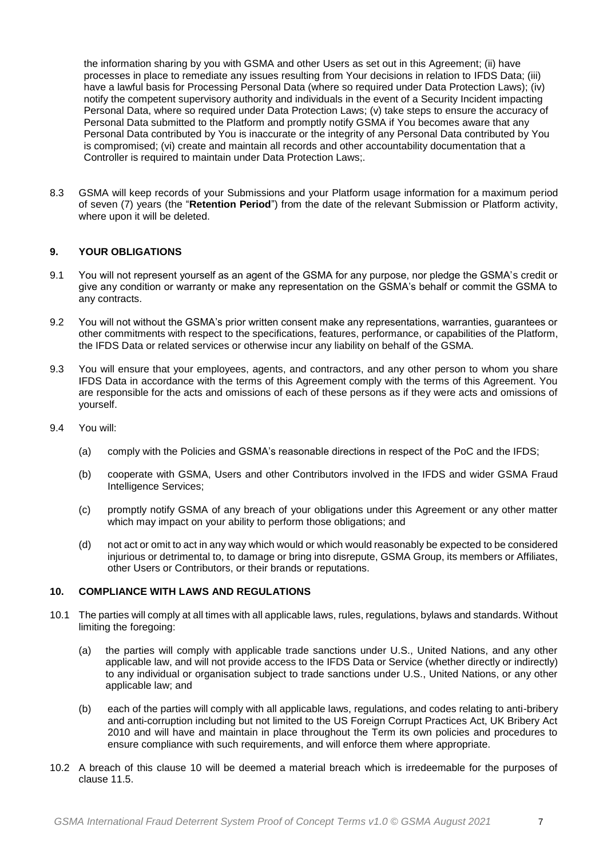the information sharing by you with GSMA and other Users as set out in this Agreement; (ii) have processes in place to remediate any issues resulting from Your decisions in relation to IFDS Data; (iii) have a lawful basis for Processing Personal Data (where so required under Data Protection Laws); (iv) notify the competent supervisory authority and individuals in the event of a Security Incident impacting Personal Data, where so required under Data Protection Laws; (v) take steps to ensure the accuracy of Personal Data submitted to the Platform and promptly notify GSMA if You becomes aware that any Personal Data contributed by You is inaccurate or the integrity of any Personal Data contributed by You is compromised; (vi) create and maintain all records and other accountability documentation that a Controller is required to maintain under Data Protection Laws;.

8.3 GSMA will keep records of your Submissions and your Platform usage information for a maximum period of seven (7) years (the "**Retention Period**") from the date of the relevant Submission or Platform activity, where upon it will be deleted.

# **9. YOUR OBLIGATIONS**

- 9.1 You will not represent yourself as an agent of the GSMA for any purpose, nor pledge the GSMA's credit or give any condition or warranty or make any representation on the GSMA's behalf or commit the GSMA to any contracts.
- 9.2 You will not without the GSMA's prior written consent make any representations, warranties, guarantees or other commitments with respect to the specifications, features, performance, or capabilities of the Platform, the IFDS Data or related services or otherwise incur any liability on behalf of the GSMA.
- 9.3 You will ensure that your employees, agents, and contractors, and any other person to whom you share IFDS Data in accordance with the terms of this Agreement comply with the terms of this Agreement. You are responsible for the acts and omissions of each of these persons as if they were acts and omissions of yourself.
- 9.4 You will:
	- (a) comply with the Policies and GSMA's reasonable directions in respect of the PoC and the IFDS;
	- (b) cooperate with GSMA, Users and other Contributors involved in the IFDS and wider GSMA Fraud Intelligence Services;
	- (c) promptly notify GSMA of any breach of your obligations under this Agreement or any other matter which may impact on your ability to perform those obligations; and
	- (d) not act or omit to act in any way which would or which would reasonably be expected to be considered injurious or detrimental to, to damage or bring into disrepute, GSMA Group, its members or Affiliates, other Users or Contributors, or their brands or reputations.

#### <span id="page-6-0"></span>**10. COMPLIANCE WITH LAWS AND REGULATIONS**

- 10.1 The parties will comply at all times with all applicable laws, rules, regulations, bylaws and standards. Without limiting the foregoing:
	- (a) the parties will comply with applicable trade sanctions under U.S., United Nations, and any other applicable law, and will not provide access to the IFDS Data or Service (whether directly or indirectly) to any individual or organisation subject to trade sanctions under U.S., United Nations, or any other applicable law; and
	- (b) each of the parties will comply with all applicable laws, regulations, and codes relating to anti-bribery and anti-corruption including but not limited to the US Foreign Corrupt Practices Act, UK Bribery Act 2010 and will have and maintain in place throughout the Term its own policies and procedures to ensure compliance with such requirements, and will enforce them where appropriate.
- 10.2 A breach of this clause [10](#page-6-0) will be deemed a material breach which is irredeemable for the purposes of clause [11.5.](#page-7-0)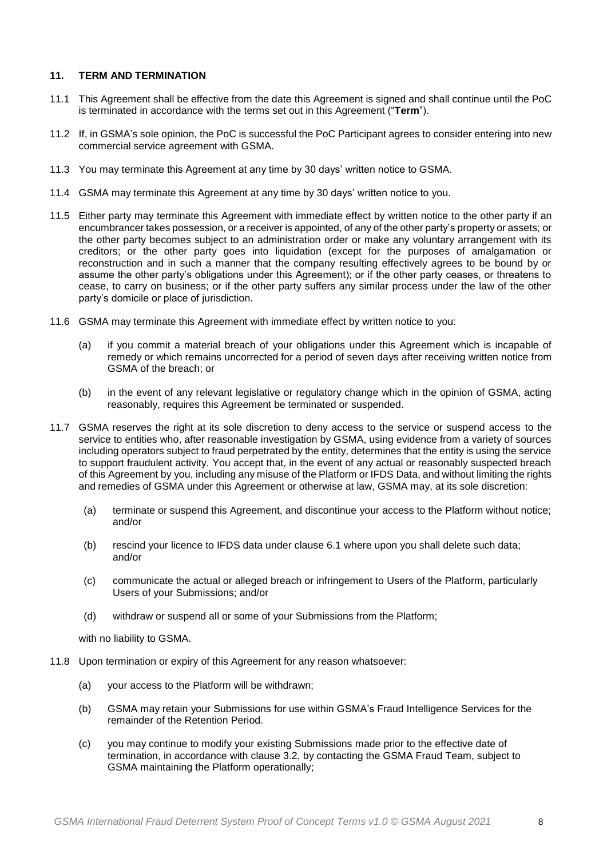## **11. TERM AND TERMINATION**

- 11.1 This Agreement shall be effective from the date this Agreement is signed and shall continue until the PoC is terminated in accordance with the terms set out in this Agreement ("**Term**").
- 11.2 If, in GSMA's sole opinion, the PoC is successful the PoC Participant agrees to consider entering into new commercial service agreement with GSMA.
- 11.3 You may terminate this Agreement at any time by 30 days' written notice to GSMA.
- 11.4 GSMA may terminate this Agreement at any time by 30 days' written notice to you.
- <span id="page-7-0"></span>11.5 Either party may terminate this Agreement with immediate effect by written notice to the other party if an encumbrancer takes possession, or a receiver is appointed, of any of the other party's property or assets; or the other party becomes subject to an administration order or make any voluntary arrangement with its creditors; or the other party goes into liquidation (except for the purposes of amalgamation or reconstruction and in such a manner that the company resulting effectively agrees to be bound by or assume the other party's obligations under this Agreement); or if the other party ceases, or threatens to cease, to carry on business; or if the other party suffers any similar process under the law of the other party's domicile or place of jurisdiction.
- 11.6 GSMA may terminate this Agreement with immediate effect by written notice to you:
	- (a) if you commit a material breach of your obligations under this Agreement which is incapable of remedy or which remains uncorrected for a period of seven days after receiving written notice from GSMA of the breach; or
	- (b) in the event of any relevant legislative or regulatory change which in the opinion of GSMA, acting reasonably, requires this Agreement be terminated or suspended.
- 11.7 GSMA reserves the right at its sole discretion to deny access to the service or suspend access to the service to entities who, after reasonable investigation by GSMA, using evidence from a variety of sources including operators subject to fraud perpetrated by the entity, determines that the entity is using the service to support fraudulent activity. You accept that, in the event of any actual or reasonably suspected breach of this Agreement by you, including any misuse of the Platform or IFDS Data, and without limiting the rights and remedies of GSMA under this Agreement or otherwise at law, GSMA may, at its sole discretion:
	- (a) terminate or suspend this Agreement, and discontinue your access to the Platform without notice; and/or
	- (b) rescind your licence to IFDS data under clause 6.1 where upon you shall delete such data; and/or
	- (c) communicate the actual or alleged breach or infringement to Users of the Platform, particularly Users of your Submissions; and/or
	- (d) withdraw or suspend all or some of your Submissions from the Platform;

with no liability to GSMA.

- 11.8 Upon termination or expiry of this Agreement for any reason whatsoever:
	- (a) your access to the Platform will be withdrawn;
	- (b) GSMA may retain your Submissions for use within GSMA's Fraud Intelligence Services for the remainder of the Retention Period.
	- (c) you may continue to modify your existing Submissions made prior to the effective date of termination, in accordance with clause 3.2, by contacting the GSMA Fraud Team, subject to GSMA maintaining the Platform operationally;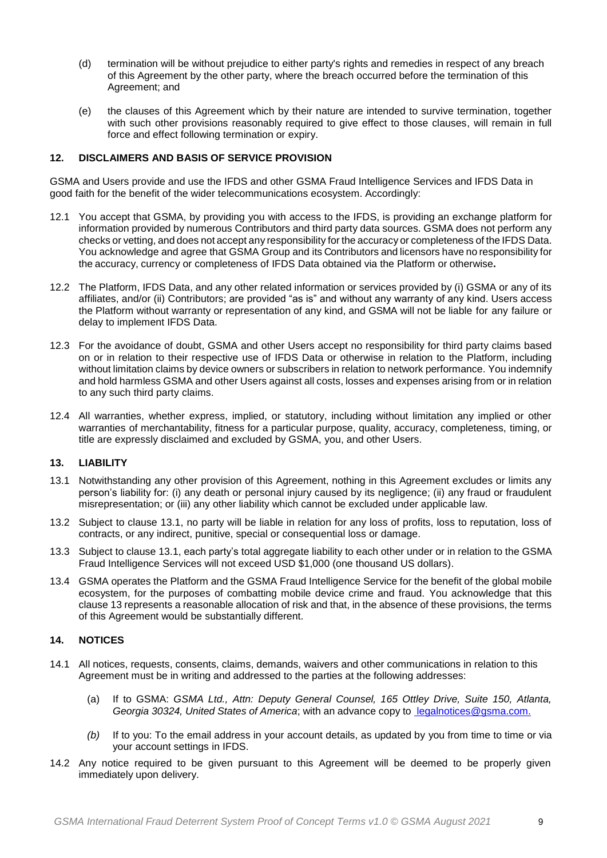- (d) termination will be without prejudice to either party's rights and remedies in respect of any breach of this Agreement by the other party, where the breach occurred before the termination of this Agreement; and
- (e) the clauses of this Agreement which by their nature are intended to survive termination, together with such other provisions reasonably required to give effect to those clauses, will remain in full force and effect following termination or expiry.

# <span id="page-8-2"></span>**12. DISCLAIMERS AND BASIS OF SERVICE PROVISION**

GSMA and Users provide and use the IFDS and other GSMA Fraud Intelligence Services and IFDS Data in good faith for the benefit of the wider telecommunications ecosystem. Accordingly:

- 12.1 You accept that GSMA, by providing you with access to the IFDS, is providing an exchange platform for information provided by numerous Contributors and third party data sources. GSMA does not perform any checks or vetting, and does not accept any responsibility for the accuracy or completeness of the IFDS Data. You acknowledge and agree that GSMA Group and its Contributors and licensors have no responsibility for the accuracy, currency or completeness of IFDS Data obtained via the Platform or otherwise**.**
- 12.2 The Platform, IFDS Data, and any other related information or services provided by (i) GSMA or any of its affiliates, and/or (ii) Contributors; are provided "as is" and without any warranty of any kind. Users access the Platform without warranty or representation of any kind, and GSMA will not be liable for any failure or delay to implement IFDS Data.
- 12.3 For the avoidance of doubt, GSMA and other Users accept no responsibility for third party claims based on or in relation to their respective use of IFDS Data or otherwise in relation to the Platform, including without limitation claims by device owners or subscribers in relation to network performance. You indemnify and hold harmless GSMA and other Users against all costs, losses and expenses arising from or in relation to any such third party claims.
- 12.4 All warranties, whether express, implied, or statutory, including without limitation any implied or other warranties of merchantability, fitness for a particular purpose, quality, accuracy, completeness, timing, or title are expressly disclaimed and excluded by GSMA, you, and other Users.

#### <span id="page-8-1"></span>**13. LIABILITY**

- <span id="page-8-0"></span>13.1 Notwithstanding any other provision of this Agreement, nothing in this Agreement excludes or limits any person's liability for: (i) any death or personal injury caused by its negligence; (ii) any fraud or fraudulent misrepresentation; or (iii) any other liability which cannot be excluded under applicable law.
- 13.2 Subject to clause [13.1,](#page-8-0) no party will be liable in relation for any loss of profits, loss to reputation, loss of contracts, or any indirect, punitive, special or consequential loss or damage.
- 13.3 Subject to clause [13.1,](#page-8-0) each party's total aggregate liability to each other under or in relation to the GSMA Fraud Intelligence Services will not exceed USD \$1,000 (one thousand US dollars).
- 13.4 GSMA operates the Platform and the GSMA Fraud Intelligence Service for the benefit of the global mobile ecosystem, for the purposes of combatting mobile device crime and fraud. You acknowledge that this claus[e 13](#page-8-1) represents a reasonable allocation of risk and that, in the absence of these provisions, the terms of this Agreement would be substantially different.

## **14. NOTICES**

- 14.1 All notices, requests, consents, claims, demands, waivers and other communications in relation to this Agreement must be in writing and addressed to the parties at the following addresses:
	- (a) If to GSMA: *GSMA Ltd., Attn: Deputy General Counsel, 165 Ottley Drive, Suite 150, Atlanta, Georgia 30324, United States of America*; with an advance copy to [legalnotices@gsma.com.](mailto:%20legalnotices@gsma.com.)
	- *(b)* If to you: To the email address in your account details, as updated by you from time to time or via your account settings in IFDS.
- 14.2 Any notice required to be given pursuant to this Agreement will be deemed to be properly given immediately upon delivery.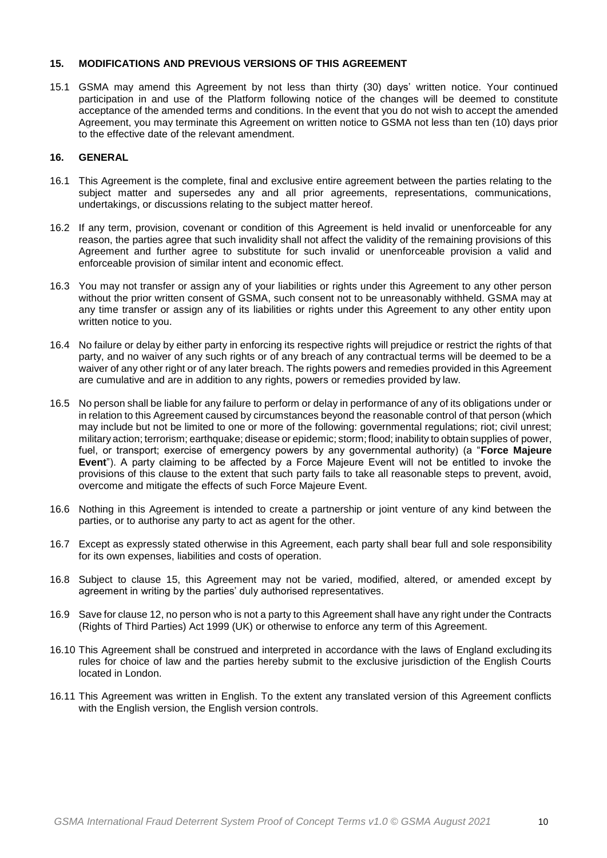## <span id="page-9-0"></span>**15. MODIFICATIONS AND PREVIOUS VERSIONS OF THIS AGREEMENT**

15.1 GSMA may amend this Agreement by not less than thirty (30) days' written notice. Your continued participation in and use of the Platform following notice of the changes will be deemed to constitute acceptance of the amended terms and conditions. In the event that you do not wish to accept the amended Agreement, you may terminate this Agreement on written notice to GSMA not less than ten (10) days prior to the effective date of the relevant amendment.

## **16. GENERAL**

- 16.1 This Agreement is the complete, final and exclusive entire agreement between the parties relating to the subject matter and supersedes any and all prior agreements, representations, communications, undertakings, or discussions relating to the subject matter hereof.
- 16.2 If any term, provision, covenant or condition of this Agreement is held invalid or unenforceable for any reason, the parties agree that such invalidity shall not affect the validity of the remaining provisions of this Agreement and further agree to substitute for such invalid or unenforceable provision a valid and enforceable provision of similar intent and economic effect.
- 16.3 You may not transfer or assign any of your liabilities or rights under this Agreement to any other person without the prior written consent of GSMA, such consent not to be unreasonably withheld. GSMA may at any time transfer or assign any of its liabilities or rights under this Agreement to any other entity upon written notice to you.
- 16.4 No failure or delay by either party in enforcing its respective rights will prejudice or restrict the rights of that party, and no waiver of any such rights or of any breach of any contractual terms will be deemed to be a waiver of any other right or of any later breach. The rights powers and remedies provided in this Agreement are cumulative and are in addition to any rights, powers or remedies provided by law.
- 16.5 No person shall be liable for any failure to perform or delay in performance of any of its obligations under or in relation to this Agreement caused by circumstances beyond the reasonable control of that person (which may include but not be limited to one or more of the following: governmental regulations; riot; civil unrest; military action; terrorism; earthquake; disease or epidemic; storm; flood; inability to obtain supplies of power, fuel, or transport; exercise of emergency powers by any governmental authority) (a "**Force Majeure Event**"). A party claiming to be affected by a Force Majeure Event will not be entitled to invoke the provisions of this clause to the extent that such party fails to take all reasonable steps to prevent, avoid, overcome and mitigate the effects of such Force Majeure Event.
- 16.6 Nothing in this Agreement is intended to create a partnership or joint venture of any kind between the parties, or to authorise any party to act as agent for the other.
- 16.7 Except as expressly stated otherwise in this Agreement, each party shall bear full and sole responsibility for its own expenses, liabilities and costs of operation.
- 16.8 Subject to clause [15,](#page-9-0) this Agreement may not be varied, modified, altered, or amended except by agreement in writing by the parties' duly authorised representatives.
- 16.9 Save for clause [12,](#page-8-2) no person who is not a party to this Agreement shall have any right under the Contracts (Rights of Third Parties) Act 1999 (UK) or otherwise to enforce any term of this Agreement.
- 16.10 This Agreement shall be construed and interpreted in accordance with the laws of England excluding its rules for choice of law and the parties hereby submit to the exclusive jurisdiction of the English Courts located in London.
- 16.11 This Agreement was written in English. To the extent any translated version of this Agreement conflicts with the English version, the English version controls.